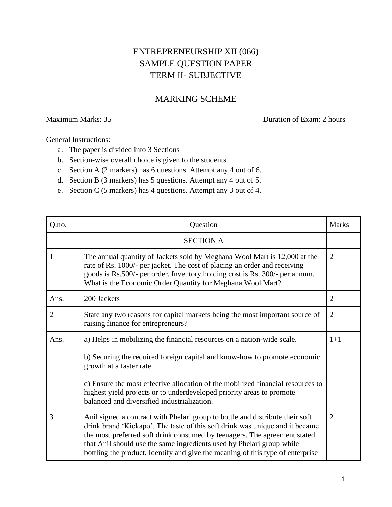## ENTREPRENEURSHIP XII (066) SAMPLE QUESTION PAPER TERM II- SUBJECTIVE

## MARKING SCHEME

Maximum Marks: 35 Duration of Exam: 2 hours

General Instructions:

- a. The paper is divided into 3 Sections
- b. Section-wise overall choice is given to the students.
- c. Section A (2 markers) has 6 questions. Attempt any 4 out of 6.
- d. Section B (3 markers) has 5 questions. Attempt any 4 out of 5.
- e. Section C (5 markers) has 4 questions. Attempt any 3 out of 4.

| Q.no.          | Question                                                                                                                                                                                                                                                                                                                                                                                              | <b>Marks</b>   |
|----------------|-------------------------------------------------------------------------------------------------------------------------------------------------------------------------------------------------------------------------------------------------------------------------------------------------------------------------------------------------------------------------------------------------------|----------------|
|                | <b>SECTION A</b>                                                                                                                                                                                                                                                                                                                                                                                      |                |
| 1              | The annual quantity of Jackets sold by Meghana Wool Mart is 12,000 at the<br>rate of Rs. 1000/- per jacket. The cost of placing an order and receiving<br>goods is Rs.500/- per order. Inventory holding cost is Rs. 300/- per annum.<br>What is the Economic Order Quantity for Meghana Wool Mart?                                                                                                   | $\overline{2}$ |
| Ans.           | 200 Jackets                                                                                                                                                                                                                                                                                                                                                                                           | $\overline{2}$ |
| $\overline{2}$ | State any two reasons for capital markets being the most important source of<br>raising finance for entrepreneurs?                                                                                                                                                                                                                                                                                    | $\overline{2}$ |
| Ans.           | a) Helps in mobilizing the financial resources on a nation-wide scale.                                                                                                                                                                                                                                                                                                                                | $1+1$          |
|                | b) Securing the required foreign capital and know-how to promote economic<br>growth at a faster rate.                                                                                                                                                                                                                                                                                                 |                |
|                | c) Ensure the most effective allocation of the mobilized financial resources to<br>highest yield projects or to underdeveloped priority areas to promote<br>balanced and diversified industrialization.                                                                                                                                                                                               |                |
| 3              | Anil signed a contract with Phelari group to bottle and distribute their soft<br>drink brand 'Kickapo'. The taste of this soft drink was unique and it became<br>the most preferred soft drink consumed by teenagers. The agreement stated<br>that Anil should use the same ingredients used by Phelari group while<br>bottling the product. Identify and give the meaning of this type of enterprise | $\overline{2}$ |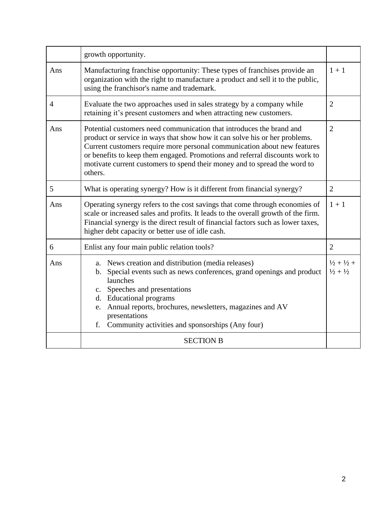|                | growth opportunity.                                                                                                                                                                                                                                                                                                                                                                                                     |                                                              |
|----------------|-------------------------------------------------------------------------------------------------------------------------------------------------------------------------------------------------------------------------------------------------------------------------------------------------------------------------------------------------------------------------------------------------------------------------|--------------------------------------------------------------|
| Ans            | Manufacturing franchise opportunity: These types of franchises provide an<br>organization with the right to manufacture a product and sell it to the public,<br>using the franchisor's name and trademark.                                                                                                                                                                                                              | $1 + 1$                                                      |
| $\overline{4}$ | Evaluate the two approaches used in sales strategy by a company while<br>retaining it's present customers and when attracting new customers.                                                                                                                                                                                                                                                                            | $\overline{2}$                                               |
| Ans            | Potential customers need communication that introduces the brand and<br>$\overline{2}$<br>product or service in ways that show how it can solve his or her problems.<br>Current customers require more personal communication about new features<br>or benefits to keep them engaged. Promotions and referral discounts work to<br>motivate current customers to spend their money and to spread the word to<br>others. |                                                              |
| 5              | What is operating synergy? How is it different from financial synergy?                                                                                                                                                                                                                                                                                                                                                  | $\overline{2}$                                               |
| Ans            | Operating synergy refers to the cost savings that come through economies of<br>scale or increased sales and profits. It leads to the overall growth of the firm.<br>Financial synergy is the direct result of financial factors such as lower taxes,<br>higher debt capacity or better use of idle cash.                                                                                                                | $1 + 1$                                                      |
| 6              | Enlist any four main public relation tools?                                                                                                                                                                                                                                                                                                                                                                             | $\overline{2}$                                               |
| Ans            | News creation and distribution (media releases)<br>a.<br>Special events such as news conferences, grand openings and product<br>b.<br>launches<br>c. Speeches and presentations<br>d. Educational programs<br>Annual reports, brochures, newsletters, magazines and AV<br>e.<br>presentations<br>Community activities and sponsorships (Any four)<br>f.                                                                 | $\frac{1}{2} + \frac{1}{2} +$<br>$\frac{1}{2} + \frac{1}{2}$ |
|                | <b>SECTION B</b>                                                                                                                                                                                                                                                                                                                                                                                                        |                                                              |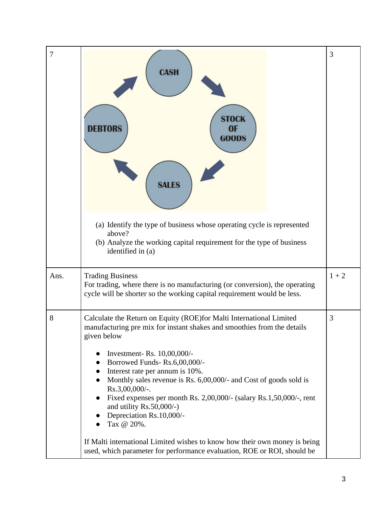| 7    | <b>CASH</b><br>STOCK<br><b>OF</b><br>DEBIORS<br><b>GOODS</b><br><b>SALES</b>                                                                                                                                                                                                                                                                                                                                                                                                                                        | 3       |
|------|---------------------------------------------------------------------------------------------------------------------------------------------------------------------------------------------------------------------------------------------------------------------------------------------------------------------------------------------------------------------------------------------------------------------------------------------------------------------------------------------------------------------|---------|
|      | (a) Identify the type of business whose operating cycle is represented<br>above?<br>(b) Analyze the working capital requirement for the type of business<br>identified in (a)                                                                                                                                                                                                                                                                                                                                       |         |
| Ans. | <b>Trading Business</b><br>For trading, where there is no manufacturing (or conversion), the operating<br>cycle will be shorter so the working capital requirement would be less.                                                                                                                                                                                                                                                                                                                                   | $1 + 2$ |
| 8    | Calculate the Return on Equity (ROE)for Malti International Limited<br>manufacturing pre mix for instant shakes and smoothies from the details<br>given below<br>Investment- Rs. 10,00,000/-<br>Borrowed Funds-Rs.6,00,000/-<br>Interest rate per annum is 10%.<br>Monthly sales revenue is Rs. 6,00,000/- and Cost of goods sold is<br>Rs.3,00,000/-.<br>Fixed expenses per month Rs. 2,00,000/- (salary Rs.1,50,000/-, rent<br>$\bullet$<br>and utility $Rs.50,000/-$ )<br>Depreciation Rs.10,000/-<br>Tax @ 20%. | 3       |
|      | If Malti international Limited wishes to know how their own money is being<br>used, which parameter for performance evaluation, ROE or ROI, should be                                                                                                                                                                                                                                                                                                                                                               |         |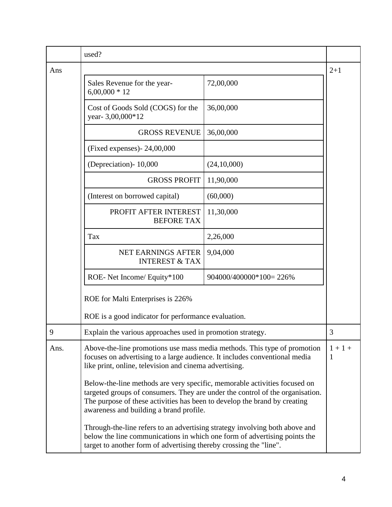|      | used?                                                                                                                                                                                                                                                                              |                        |                |
|------|------------------------------------------------------------------------------------------------------------------------------------------------------------------------------------------------------------------------------------------------------------------------------------|------------------------|----------------|
| Ans  |                                                                                                                                                                                                                                                                                    |                        | $2 + 1$        |
|      | Sales Revenue for the year-<br>$6,00,000 * 12$                                                                                                                                                                                                                                     | 72,00,000              |                |
|      | Cost of Goods Sold (COGS) for the<br>year-3,00,000*12                                                                                                                                                                                                                              | 36,00,000              |                |
|      | <b>GROSS REVENUE</b>                                                                                                                                                                                                                                                               | 36,00,000              |                |
|      | (Fixed expenses) - $24,00,000$                                                                                                                                                                                                                                                     |                        |                |
|      | (Depreciation) - 10,000                                                                                                                                                                                                                                                            | (24,10,000)            |                |
|      | <b>GROSS PROFIT</b>                                                                                                                                                                                                                                                                | 11,90,000              |                |
|      | (Interest on borrowed capital)                                                                                                                                                                                                                                                     | (60,000)               |                |
|      | PROFIT AFTER INTEREST<br><b>BEFORE TAX</b>                                                                                                                                                                                                                                         | 11,30,000              |                |
|      | Tax                                                                                                                                                                                                                                                                                | 2,26,000               |                |
|      | NET EARNINGS AFTER<br><b>INTEREST &amp; TAX</b>                                                                                                                                                                                                                                    | 9,04,000               |                |
|      | ROE- Net Income/ Equity*100                                                                                                                                                                                                                                                        | 904000/400000*100=226% |                |
|      | ROE for Malti Enterprises is 226%                                                                                                                                                                                                                                                  |                        |                |
|      | ROE is a good indicator for performance evaluation.                                                                                                                                                                                                                                |                        |                |
| 9    | Explain the various approaches used in promotion strategy.                                                                                                                                                                                                                         |                        | 3              |
| Ans. | Above-the-line promotions use mass media methods. This type of promotion<br>focuses on advertising to a large audience. It includes conventional media<br>like print, online, television and cinema advertising.                                                                   |                        | $1 + 1 +$<br>1 |
|      | Below-the-line methods are very specific, memorable activities focused on<br>targeted groups of consumers. They are under the control of the organisation.<br>The purpose of these activities has been to develop the brand by creating<br>awareness and building a brand profile. |                        |                |
|      | Through-the-line refers to an advertising strategy involving both above and<br>below the line communications in which one form of advertising points the<br>target to another form of advertising thereby crossing the "line".                                                     |                        |                |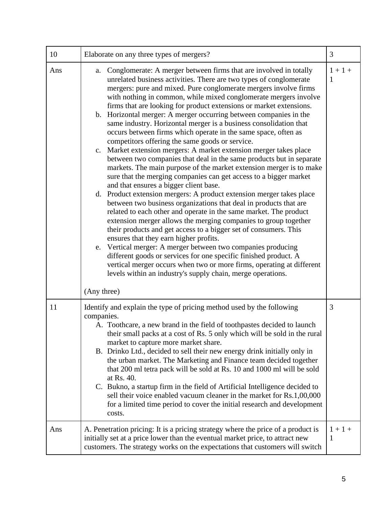| 10  | Elaborate on any three types of mergers?                                                                                                                                                                                                                                                                                                                                                                                                                                                                                                                                                                                                                                                                                                                                                                                                                                                                                                                                                                                                                                                                                                                                                                                                                                                                                                                                                                                                                                                                                                                                                                                                                            | 3              |
|-----|---------------------------------------------------------------------------------------------------------------------------------------------------------------------------------------------------------------------------------------------------------------------------------------------------------------------------------------------------------------------------------------------------------------------------------------------------------------------------------------------------------------------------------------------------------------------------------------------------------------------------------------------------------------------------------------------------------------------------------------------------------------------------------------------------------------------------------------------------------------------------------------------------------------------------------------------------------------------------------------------------------------------------------------------------------------------------------------------------------------------------------------------------------------------------------------------------------------------------------------------------------------------------------------------------------------------------------------------------------------------------------------------------------------------------------------------------------------------------------------------------------------------------------------------------------------------------------------------------------------------------------------------------------------------|----------------|
| Ans | Conglomerate: A merger between firms that are involved in totally<br>a.<br>unrelated business activities. There are two types of conglomerate<br>mergers: pure and mixed. Pure conglomerate mergers involve firms<br>with nothing in common, while mixed conglomerate mergers involve<br>firms that are looking for product extensions or market extensions.<br>b. Horizontal merger: A merger occurring between companies in the<br>same industry. Horizontal merger is a business consolidation that<br>occurs between firms which operate in the same space, often as<br>competitors offering the same goods or service.<br>c. Market extension mergers: A market extension merger takes place<br>between two companies that deal in the same products but in separate<br>markets. The main purpose of the market extension merger is to make<br>sure that the merging companies can get access to a bigger market<br>and that ensures a bigger client base.<br>Product extension mergers: A product extension merger takes place<br>d.<br>between two business organizations that deal in products that are<br>related to each other and operate in the same market. The product<br>extension merger allows the merging companies to group together<br>their products and get access to a bigger set of consumers. This<br>ensures that they earn higher profits.<br>Vertical merger: A merger between two companies producing<br>e.<br>different goods or services for one specific finished product. A<br>vertical merger occurs when two or more firms, operating at different<br>levels within an industry's supply chain, merge operations.<br>(Any three) | $1 + 1 +$<br>1 |
| 11  | Identify and explain the type of pricing method used by the following<br>companies.<br>A. Toothcare, a new brand in the field of toothpastes decided to launch<br>their small packs at a cost of Rs. 5 only which will be sold in the rural<br>market to capture more market share.<br>B. Drinko Ltd., decided to sell their new energy drink initially only in<br>the urban market. The Marketing and Finance team decided together<br>that 200 ml tetra pack will be sold at Rs. 10 and 1000 ml will be sold<br>at Rs. 40.<br>C. Bukno, a startup firm in the field of Artificial Intelligence decided to<br>sell their voice enabled vacuum cleaner in the market for Rs.1,00,000<br>for a limited time period to cover the initial research and development<br>costs.                                                                                                                                                                                                                                                                                                                                                                                                                                                                                                                                                                                                                                                                                                                                                                                                                                                                                           | 3              |
| Ans | A. Penetration pricing: It is a pricing strategy where the price of a product is<br>initially set at a price lower than the eventual market price, to attract new<br>customers. The strategy works on the expectations that customers will switch                                                                                                                                                                                                                                                                                                                                                                                                                                                                                                                                                                                                                                                                                                                                                                                                                                                                                                                                                                                                                                                                                                                                                                                                                                                                                                                                                                                                                   | $1 + 1 +$<br>1 |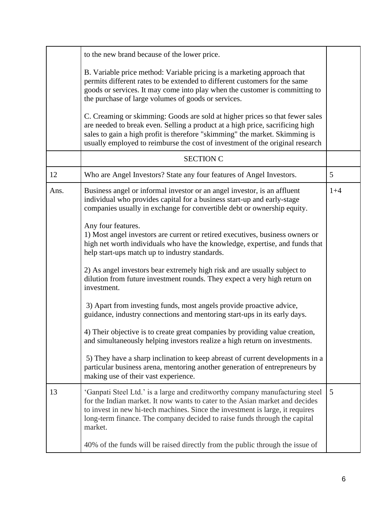|      | to the new brand because of the lower price.                                                                                                                                                                                                                                                                                          |       |
|------|---------------------------------------------------------------------------------------------------------------------------------------------------------------------------------------------------------------------------------------------------------------------------------------------------------------------------------------|-------|
|      | B. Variable price method: Variable pricing is a marketing approach that<br>permits different rates to be extended to different customers for the same<br>goods or services. It may come into play when the customer is committing to<br>the purchase of large volumes of goods or services.                                           |       |
|      | C. Creaming or skimming: Goods are sold at higher prices so that fewer sales<br>are needed to break even. Selling a product at a high price, sacrificing high<br>sales to gain a high profit is therefore "skimming" the market. Skimming is<br>usually employed to reimburse the cost of investment of the original research         |       |
|      | <b>SECTION C</b>                                                                                                                                                                                                                                                                                                                      |       |
| 12   | Who are Angel Investors? State any four features of Angel Investors.                                                                                                                                                                                                                                                                  | 5     |
| Ans. | Business angel or informal investor or an angel investor, is an affluent<br>individual who provides capital for a business start-up and early-stage<br>companies usually in exchange for convertible debt or ownership equity.                                                                                                        | $1+4$ |
|      | Any four features.<br>1) Most angel investors are current or retired executives, business owners or<br>high net worth individuals who have the knowledge, expertise, and funds that<br>help start-ups match up to industry standards.                                                                                                 |       |
|      | 2) As angel investors bear extremely high risk and are usually subject to<br>dilution from future investment rounds. They expect a very high return on<br>investment.                                                                                                                                                                 |       |
|      | 3) Apart from investing funds, most angels provide proactive advice,<br>guidance, industry connections and mentoring start-ups in its early days.                                                                                                                                                                                     |       |
|      | 4) Their objective is to create great companies by providing value creation,<br>and simultaneously helping investors realize a high return on investments.                                                                                                                                                                            |       |
|      | 5) They have a sharp inclination to keep abreast of current developments in a<br>particular business arena, mentoring another generation of entrepreneurs by<br>making use of their vast experience.                                                                                                                                  |       |
| 13   | 'Ganpati Steel Ltd.' is a large and creditworthy company manufacturing steel<br>for the Indian market. It now wants to cater to the Asian market and decides<br>to invest in new hi-tech machines. Since the investment is large, it requires<br>long-term finance. The company decided to raise funds through the capital<br>market. | 5     |
|      | 40% of the funds will be raised directly from the public through the issue of                                                                                                                                                                                                                                                         |       |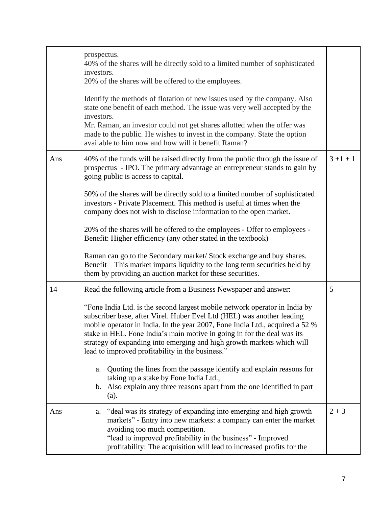|     | prospectus.<br>40% of the shares will be directly sold to a limited number of sophisticated<br>investors.<br>20% of the shares will be offered to the employees.<br>Identify the methods of flotation of new issues used by the company. Also<br>state one benefit of each method. The issue was very well accepted by the<br>investors.<br>Mr. Raman, an investor could not get shares allotted when the offer was<br>made to the public. He wishes to invest in the company. State the option<br>available to him now and how will it benefit Raman?                                                                                                                                                                                                                                            |             |
|-----|---------------------------------------------------------------------------------------------------------------------------------------------------------------------------------------------------------------------------------------------------------------------------------------------------------------------------------------------------------------------------------------------------------------------------------------------------------------------------------------------------------------------------------------------------------------------------------------------------------------------------------------------------------------------------------------------------------------------------------------------------------------------------------------------------|-------------|
| Ans | 40% of the funds will be raised directly from the public through the issue of<br>prospectus - IPO. The primary advantage an entrepreneur stands to gain by<br>going public is access to capital.<br>50% of the shares will be directly sold to a limited number of sophisticated<br>investors - Private Placement. This method is useful at times when the<br>company does not wish to disclose information to the open market.<br>20% of the shares will be offered to the employees - Offer to employees -<br>Benefit: Higher efficiency (any other stated in the textbook)<br>Raman can go to the Secondary market/ Stock exchange and buy shares.<br>Benefit – This market imparts liquidity to the long term securities held by<br>them by providing an auction market for these securities. | $3 + 1 + 1$ |
| 14  | Read the following article from a Business Newspaper and answer:<br>"Fone India Ltd. is the second largest mobile network operator in India by<br>subscriber base, after Virel. Huber Evel Ltd (HEL) was another leading<br>mobile operator in India. In the year 2007, Fone India Ltd., acquired a 52 %<br>stake in HEL. Fone India's main motive in going in for the deal was its<br>strategy of expanding into emerging and high growth markets which will<br>lead to improved profitability in the business."<br>Quoting the lines from the passage identify and explain reasons for<br>a.<br>taking up a stake by Fone India Ltd.,<br>b. Also explain any three reasons apart from the one identified in part<br>(a).                                                                        | 5           |
| Ans | "deal was its strategy of expanding into emerging and high growth<br>a.<br>markets" - Entry into new markets: a company can enter the market<br>avoiding too much competition.<br>"lead to improved profitability in the business" - Improved<br>profitability: The acquisition will lead to increased profits for the                                                                                                                                                                                                                                                                                                                                                                                                                                                                            | $2 + 3$     |